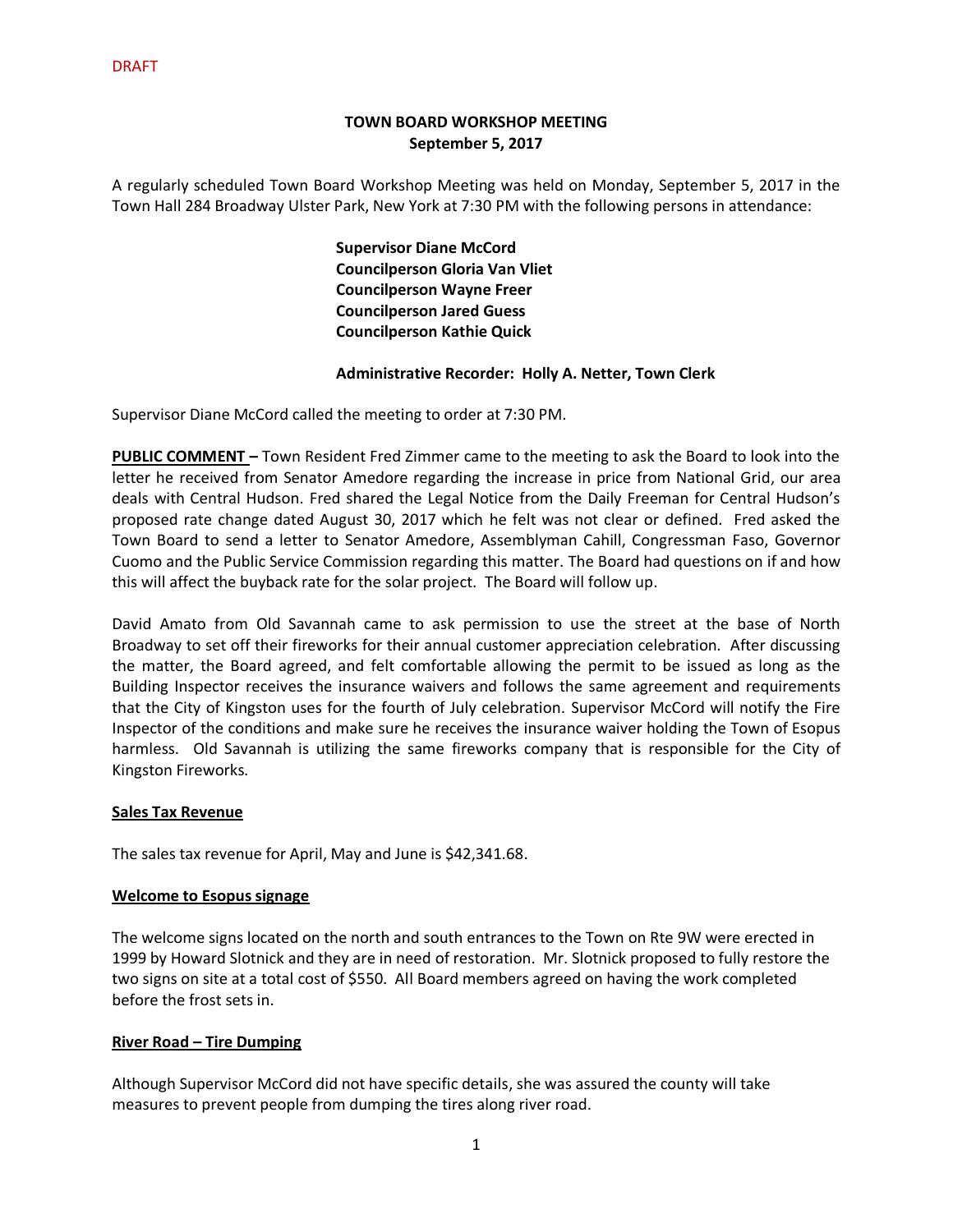# **TOWN BOARD WORKSHOP MEETING September 5, 2017**

A regularly scheduled Town Board Workshop Meeting was held on Monday, September 5, 2017 in the Town Hall 284 Broadway Ulster Park, New York at 7:30 PM with the following persons in attendance:

> **Supervisor Diane McCord Councilperson Gloria Van Vliet Councilperson Wayne Freer Councilperson Jared Guess Councilperson Kathie Quick**

### **Administrative Recorder: Holly A. Netter, Town Clerk**

Supervisor Diane McCord called the meeting to order at 7:30 PM.

**PUBLIC COMMENT –** Town Resident Fred Zimmer came to the meeting to ask the Board to look into the letter he received from Senator Amedore regarding the increase in price from National Grid, our area deals with Central Hudson. Fred shared the Legal Notice from the Daily Freeman for Central Hudson's proposed rate change dated August 30, 2017 which he felt was not clear or defined. Fred asked the Town Board to send a letter to Senator Amedore, Assemblyman Cahill, Congressman Faso, Governor Cuomo and the Public Service Commission regarding this matter. The Board had questions on if and how this will affect the buyback rate for the solar project. The Board will follow up.

David Amato from Old Savannah came to ask permission to use the street at the base of North Broadway to set off their fireworks for their annual customer appreciation celebration. After discussing the matter, the Board agreed, and felt comfortable allowing the permit to be issued as long as the Building Inspector receives the insurance waivers and follows the same agreement and requirements that the City of Kingston uses for the fourth of July celebration. Supervisor McCord will notify the Fire Inspector of the conditions and make sure he receives the insurance waiver holding the Town of Esopus harmless. Old Savannah is utilizing the same fireworks company that is responsible for the City of Kingston Fireworks.

## **Sales Tax Revenue**

The sales tax revenue for April, May and June is \$42,341.68.

#### **Welcome to Esopus signage**

The welcome signs located on the north and south entrances to the Town on Rte 9W were erected in 1999 by Howard Slotnick and they are in need of restoration. Mr. Slotnick proposed to fully restore the two signs on site at a total cost of \$550. All Board members agreed on having the work completed before the frost sets in.

#### **River Road – Tire Dumping**

Although Supervisor McCord did not have specific details, she was assured the county will take measures to prevent people from dumping the tires along river road.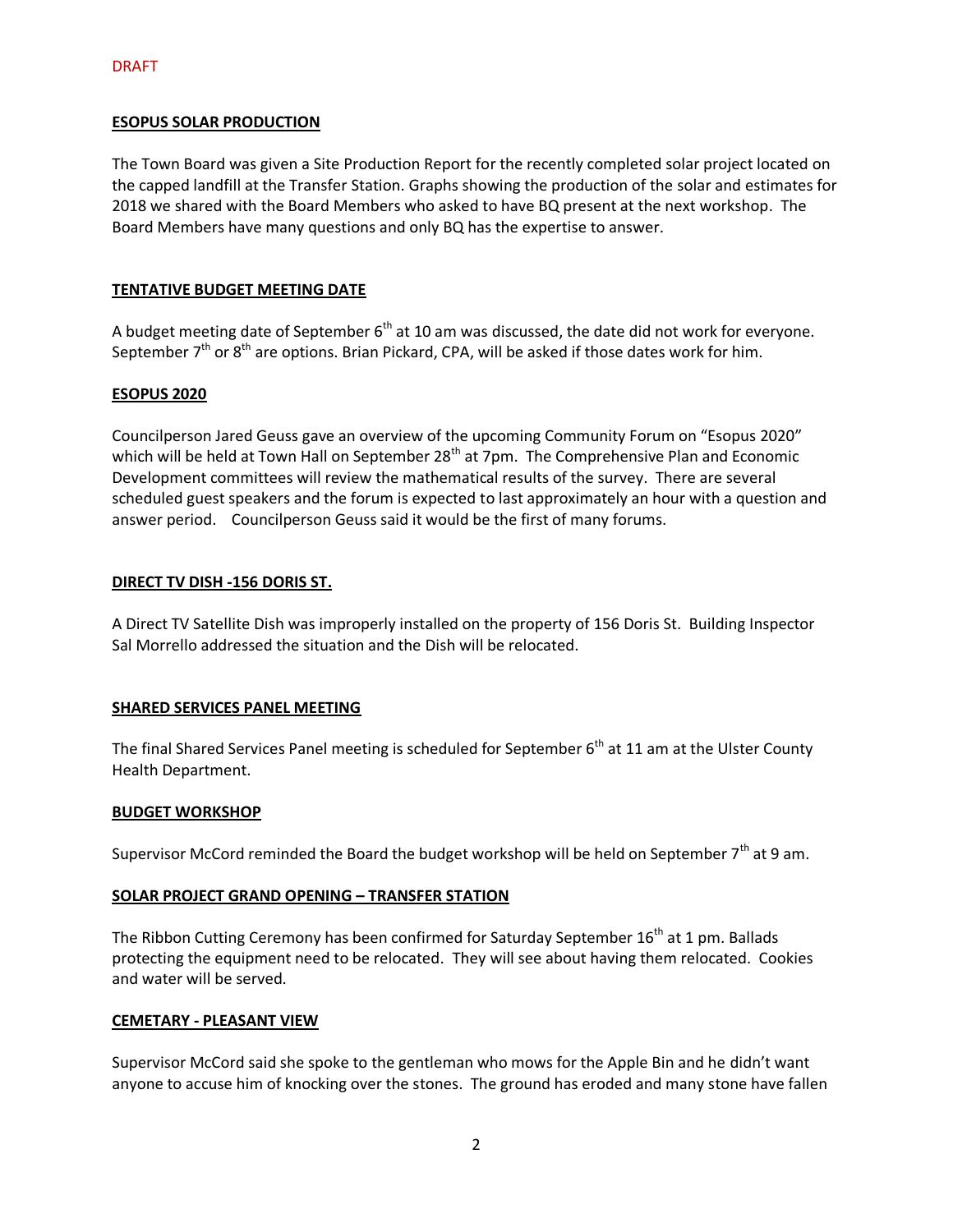## **ESOPUS SOLAR PRODUCTION**

The Town Board was given a Site Production Report for the recently completed solar project located on the capped landfill at the Transfer Station. Graphs showing the production of the solar and estimates for 2018 we shared with the Board Members who asked to have BQ present at the next workshop. The Board Members have many questions and only BQ has the expertise to answer.

## **TENTATIVE BUDGET MEETING DATE**

A budget meeting date of September  $6<sup>th</sup>$  at 10 am was discussed, the date did not work for everyone. September  $7<sup>th</sup>$  or  $8<sup>th</sup>$  are options. Brian Pickard, CPA, will be asked if those dates work for him.

### **ESOPUS 2020**

Councilperson Jared Geuss gave an overview of the upcoming Community Forum on "Esopus 2020" which will be held at Town Hall on September  $28<sup>th</sup>$  at 7pm. The Comprehensive Plan and Economic Development committees will review the mathematical results of the survey. There are several scheduled guest speakers and the forum is expected to last approximately an hour with a question and answer period. Councilperson Geuss said it would be the first of many forums.

#### **DIRECT TV DISH -156 DORIS ST.**

A Direct TV Satellite Dish was improperly installed on the property of 156 Doris St. Building Inspector Sal Morrello addressed the situation and the Dish will be relocated.

#### **SHARED SERVICES PANEL MEETING**

The final Shared Services Panel meeting is scheduled for September  $6<sup>th</sup>$  at 11 am at the Ulster County Health Department.

#### **BUDGET WORKSHOP**

Supervisor McCord reminded the Board the budget workshop will be held on September  $7<sup>th</sup>$  at 9 am.

#### **SOLAR PROJECT GRAND OPENING – TRANSFER STATION**

The Ribbon Cutting Ceremony has been confirmed for Saturday September 16<sup>th</sup> at 1 pm. Ballads protecting the equipment need to be relocated. They will see about having them relocated. Cookies and water will be served.

#### **CEMETARY - PLEASANT VIEW**

Supervisor McCord said she spoke to the gentleman who mows for the Apple Bin and he didn't want anyone to accuse him of knocking over the stones. The ground has eroded and many stone have fallen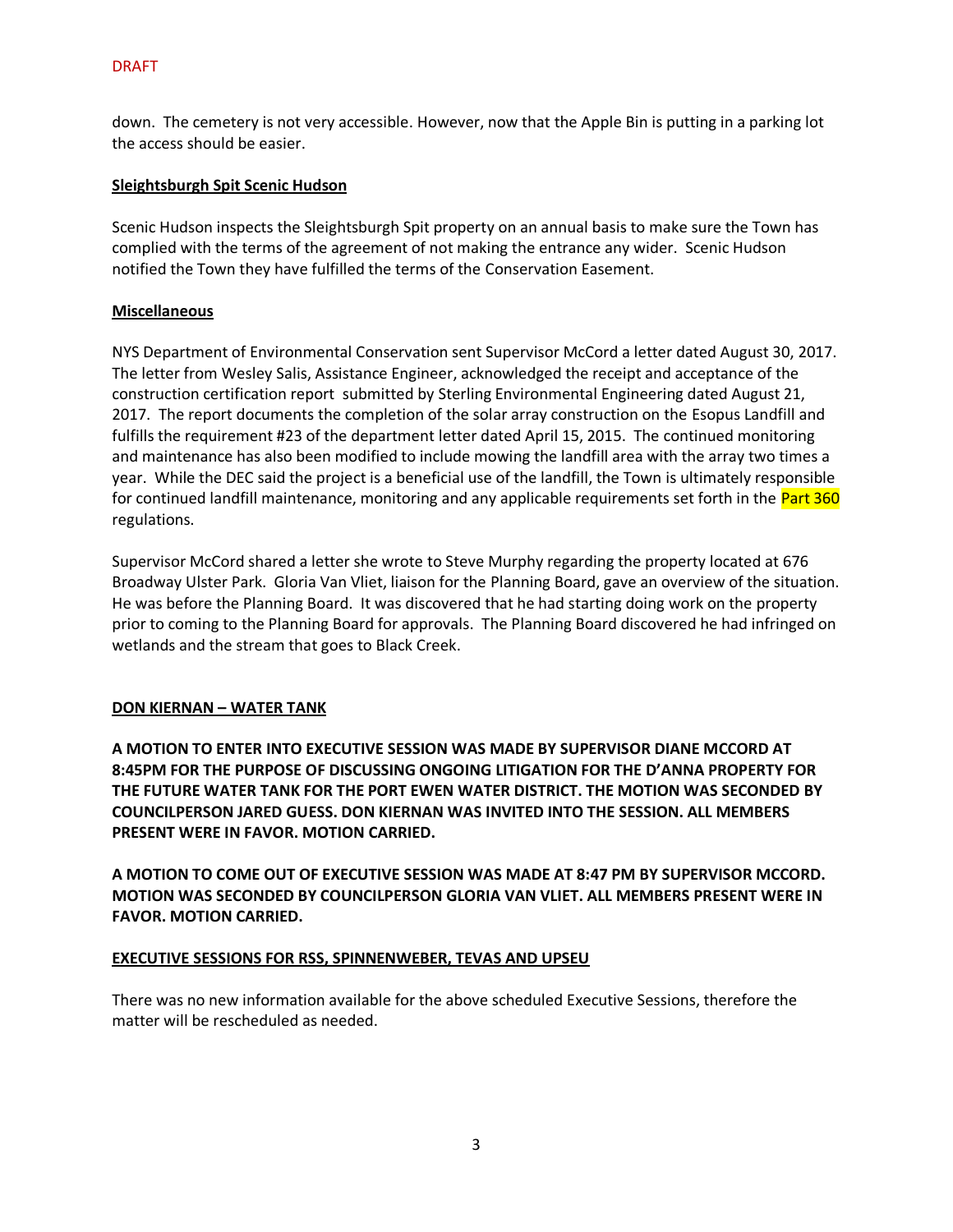#### DRAFT

down. The cemetery is not very accessible. However, now that the Apple Bin is putting in a parking lot the access should be easier.

### **Sleightsburgh Spit Scenic Hudson**

Scenic Hudson inspects the Sleightsburgh Spit property on an annual basis to make sure the Town has complied with the terms of the agreement of not making the entrance any wider. Scenic Hudson notified the Town they have fulfilled the terms of the Conservation Easement.

## **Miscellaneous**

NYS Department of Environmental Conservation sent Supervisor McCord a letter dated August 30, 2017. The letter from Wesley Salis, Assistance Engineer, acknowledged the receipt and acceptance of the construction certification report submitted by Sterling Environmental Engineering dated August 21, 2017. The report documents the completion of the solar array construction on the Esopus Landfill and fulfills the requirement #23 of the department letter dated April 15, 2015. The continued monitoring and maintenance has also been modified to include mowing the landfill area with the array two times a year. While the DEC said the project is a beneficial use of the landfill, the Town is ultimately responsible for continued landfill maintenance, monitoring and any applicable requirements set forth in the **Part 360** regulations.

Supervisor McCord shared a letter she wrote to Steve Murphy regarding the property located at 676 Broadway Ulster Park. Gloria Van Vliet, liaison for the Planning Board, gave an overview of the situation. He was before the Planning Board. It was discovered that he had starting doing work on the property prior to coming to the Planning Board for approvals. The Planning Board discovered he had infringed on wetlands and the stream that goes to Black Creek.

## **DON KIERNAN – WATER TANK**

**A MOTION TO ENTER INTO EXECUTIVE SESSION WAS MADE BY SUPERVISOR DIANE MCCORD AT 8:45PM FOR THE PURPOSE OF DISCUSSING ONGOING LITIGATION FOR THE D'ANNA PROPERTY FOR THE FUTURE WATER TANK FOR THE PORT EWEN WATER DISTRICT. THE MOTION WAS SECONDED BY COUNCILPERSON JARED GUESS. DON KIERNAN WAS INVITED INTO THE SESSION. ALL MEMBERS PRESENT WERE IN FAVOR. MOTION CARRIED.**

**A MOTION TO COME OUT OF EXECUTIVE SESSION WAS MADE AT 8:47 PM BY SUPERVISOR MCCORD. MOTION WAS SECONDED BY COUNCILPERSON GLORIA VAN VLIET. ALL MEMBERS PRESENT WERE IN FAVOR. MOTION CARRIED.**

## **EXECUTIVE SESSIONS FOR RSS, SPINNENWEBER, TEVAS AND UPSEU**

There was no new information available for the above scheduled Executive Sessions, therefore the matter will be rescheduled as needed.